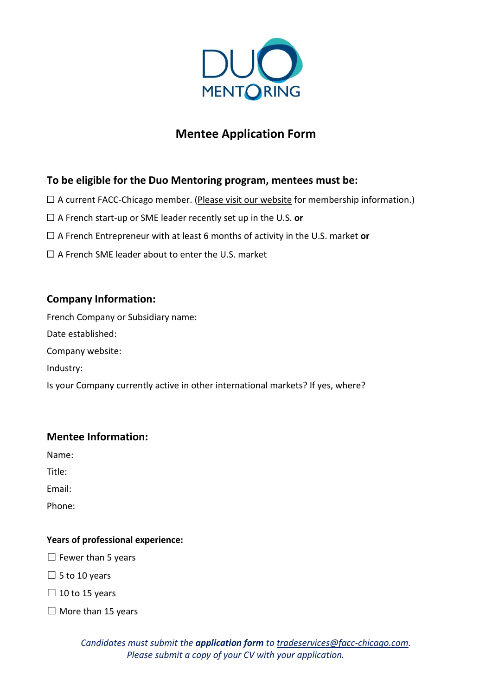

# **Mentee Application Form**

# **To be eligible for the Duo Mentoring program, mentees must be:**

- $\Box$  A current FACC-Chicago member. (Please visit our [website](https://www.facc-chicago.com/membership.html) for membership information.)
- ☐ A French start-up or SME leader recently set up in the U.S. **or**
- ☐ A French Entrepreneur with at least 6 months of activity in the U.S. market **or**
- □ A French SME leader about to enter the U.S. market

## **Company Information:**

French Company or Subsidiary name: Date established: Company website: Industry: Is your Company currently active in other international markets? If yes, where?

### **Mentee Information:**

Name:

Title:

Email:

Phone:

#### **Years of professional experience:**

 $\Box$  Fewer than 5 years

 $\square$  5 to 10 years

 $\Box$  10 to 15 years

 $\Box$  More than 15 years

*Candidates must submit the application form to [tradeservices@facc-chicago.com.](mailto:tradeservices@facc-chicago.com) Please submit a copy of your CV with your application.*